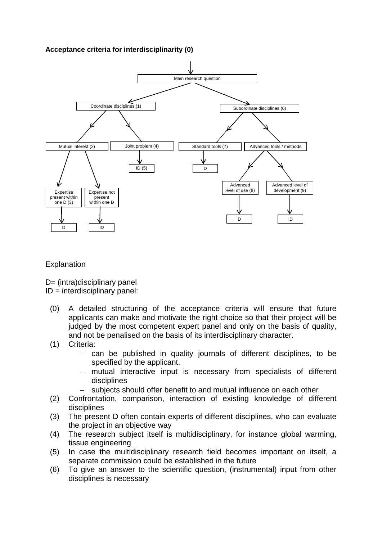## **Acceptance criteria for interdisciplinarity (0)**



## **Explanation**

D= (intra)disciplinary panel

 $ID =$  interdisciplinary panel:

- (0) A detailed structuring of the acceptance criteria will ensure that future applicants can make and motivate the right choice so that their project will be judged by the most competent expert panel and only on the basis of quality. and not be penalised on the basis of its interdisciplinary character.
- (1) Criteria:
	- − can be published in quality journals of different disciplines, to be specified by the applicant.
	- mutual interactive input is necessary from specialists of different disciplines
	- subjects should offer benefit to and mutual influence on each other
- (2) Confrontation, comparison, interaction of existing knowledge of different disciplines
- (3) The present D often contain experts of different disciplines, who can evaluate the project in an objective way
- (4) The research subject itself is multidisciplinary, for instance global warming, tissue engineering
- (5) In case the multidisciplinary research field becomes important on itself, a separate commission could be established in the future
- (6) To give an answer to the scientific question, (instrumental) input from other disciplines is necessary